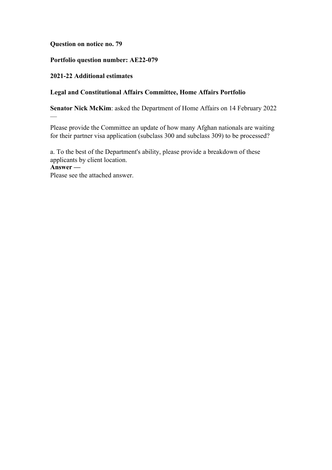#### **Question on notice no. 79**

## **Portfolio question number: AE22-079**

## **2021-22 Additional estimates**

## **Legal and Constitutional Affairs Committee, Home Affairs Portfolio**

**Senator Nick McKim**: asked the Department of Home Affairs on 14 February 2022

Please provide the Committee an update of how many Afghan nationals are waiting for their partner visa application (subclass 300 and subclass 309) to be processed?

a. To the best of the Department's ability, please provide a breakdown of these applicants by client location.

**Answer —**

—

Please see the attached answer.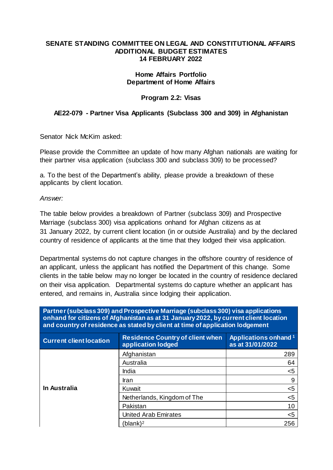#### **SENATE STANDING COMMITTEE ON LEGAL AND CONSTITUTIONAL AFFAIRS ADDITIONAL BUDGET ESTIMATES 14 FEBRUARY 2022**

#### **Home Affairs Portfolio Department of Home Affairs**

## **Program 2.2: Visas**

# **AE22-079 - Partner Visa Applicants (Subclass 300 and 309) in Afghanistan**

Senator Nick McKim asked:

Please provide the Committee an update of how many Afghan nationals are waiting for their partner visa application (subclass 300 and subclass 309) to be processed?

a. To the best of the Department's ability, please provide a breakdown of these applicants by client location.

*Answer:*

The table below provides a breakdown of Partner (subclass 309) and Prospective Marriage (subclass 300) visa applications onhand for Afghan citizens as at 31 January 2022, by current client location (in or outside Australia) and by the declared country of residence of applicants at the time that they lodged their visa application.

Departmental systems do not capture changes in the offshore country of residence of an applicant, unless the applicant has notified the Department of this change. Some clients in the table below may no longer be located in the country of residence declared on their visa application. Departmental systems do capture whether an applicant has entered, and remains in, Australia since lodging their application.

| Partner (subclass 309) and Prospective Marriage (subclass 300) visa applications<br>onhand for citizens of Afghanistan as at 31 January 2022, by current client location<br>and country of residence as stated by client at time of application lodgement |                                                               |                                                             |  |
|-----------------------------------------------------------------------------------------------------------------------------------------------------------------------------------------------------------------------------------------------------------|---------------------------------------------------------------|-------------------------------------------------------------|--|
| <b>Current client location</b>                                                                                                                                                                                                                            | <b>Residence Country of client when</b><br>application lodged | <b>Applications onhand</b> <sup>1</sup><br>as at 31/01/2022 |  |
| <b>In Australia</b>                                                                                                                                                                                                                                       | Afghanistan                                                   | 289                                                         |  |
|                                                                                                                                                                                                                                                           | Australia                                                     | 64                                                          |  |
|                                                                                                                                                                                                                                                           | India                                                         | $5$                                                         |  |
|                                                                                                                                                                                                                                                           | Iran                                                          | 9                                                           |  |
|                                                                                                                                                                                                                                                           | Kuwait                                                        | $5$                                                         |  |
|                                                                                                                                                                                                                                                           | Netherlands, Kingdom of The                                   | $5$                                                         |  |
|                                                                                                                                                                                                                                                           | Pakistan                                                      | 10                                                          |  |
|                                                                                                                                                                                                                                                           | <b>United Arab Emirates</b>                                   | $5$                                                         |  |
|                                                                                                                                                                                                                                                           | (blank) <sup>2</sup>                                          | 256                                                         |  |